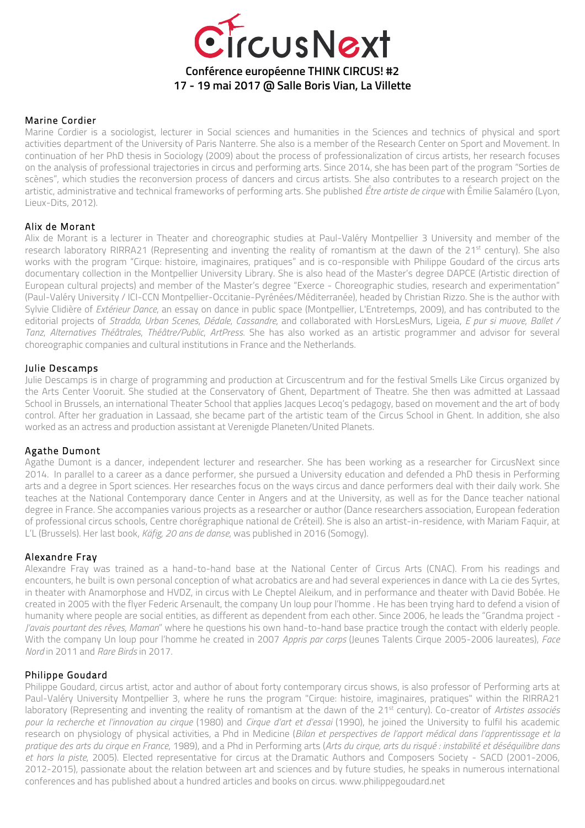

# Marine Cordier

Marine Cordier is a sociologist, lecturer in Social sciences and humanities in the Sciences and technics of physical and sport activities department of the University of Paris Nanterre. She also is a member of the Research Center on Sport and Movement. In continuation of her PhD thesis in Sociology (2009) about the process of professionalization of circus artists, her research focuses on the analysis of professional trajectories in circus and performing arts. Since 2014, she has been part of the program "Sorties de scènes", which studies the reconversion process of dancers and circus artists. She also contributes to a research project on the artistic, administrative and technical frameworks of performing arts. She published *Être artiste de cirque* with Émilie Salaméro (Lyon, Lieux-Dits, 2012).

### Alix de Morant

Alix de Morant is a lecturer in Theater and choreographic studies at Paul-Valéry Montpellier 3 University and member of the research laboratory RIRRA21 (Representing and inventing the reality of romantism at the dawn of the 21<sup>st</sup> century). She also works with the program "Cirque: histoire, imaginaires, pratiques" and is co-responsible with Philippe Goudard of the circus arts documentary collection in the Montpellier University Library. She is also head of the Master's degree DAPCE (Artistic direction of European cultural projects) and member of the Master's degree "Exerce - Choreographic studies, research and experimentation" (Paul-Valéry University / ICI-CCN Montpellier-Occitanie-Pyrénées/Méditerranée), headed by Christian Rizzo. She is the author with Sylvie Clidière of *Extérieur Dance*, an essay on dance in public space (Montpellier, L'Entretemps, 2009), and has contributed to the editorial projects of *Stradda, Urban Scenes*, *Dédale*, *Cassandre*, and collaborated with HorsLesMurs, Ligeia, *E pur si muove*, *Ballet / Tanz*, *Alternatives Théâtrales*, *Théâtre/Public*, *ArtPress*. She has also worked as an artistic programmer and advisor for several choreographic companies and cultural institutions in France and the Netherlands.

### Julie Descamps

Julie Descamps is in charge of programming and production at Circuscentrum and for the festival Smells Like Circus organized by the Arts Center Vooruit. She studied at the Conservatory of Ghent, Department of Theatre. She then was admitted at Lassaad School in Brussels, an international Theater School that applies Jacques Lecoq's pedagogy, based on movement and the art of body control. After her graduation in Lassaad, she became part of the artistic team of the Circus School in Ghent. In addition, she also worked as an actress and production assistant at Verenigde Planeten/United Planets.

### Agathe Dumont

Agathe Dumont is a dancer, independent lecturer and researcher. She has been working as a researcher for CircusNext since 2014. In parallel to a career as a dance performer, she pursued a University education and defended a PhD thesis in Performing arts and a degree in Sport sciences. Her researches focus on the ways circus and dance performers deal with their daily work. She teaches at the National Contemporary dance Center in Angers and at the University, as well as for the Dance teacher national degree in France. She accompanies various projects as a researcher or author (Dance researchers association, European federation of professional circus schools, Centre chorégraphique national de Créteil). She is also an artist-in-residence, with Mariam Faquir, at L'L (Brussels). Her last book, *Käfig, 20 ans de danse*, was published in 2016 (Somogy).

### Alexandre Fray

Alexandre Fray was trained as a hand-to-hand base at the National Center of Circus Arts (CNAC). From his readings and encounters, he built is own personal conception of what acrobatics are and had several experiences in dance with La cie des Syrtes, in theater with Anamorphose and HVDZ, in circus with Le Cheptel Aleikum, and in performance and theater with David Bobée. He created in 2005 with the flyer Federic Arsenault, the company Un loup pour l'homme . He has been trying hard to defend a vision of humanity where people are social entities, as different as dependent from each other. Since 2006, he leads the "Grandma project *- J'avais pourtant des rêves, Maman*" where he questions his own hand-to-hand base practice trough the contact with elderly people. With the company Un loup pour l'homme he created in 2007 *Appris par corps* (Jeunes Talents Cirque 2005-2006 laureates), *Face Nord* in 2011 and *Rare Birds* in 2017.

### Philippe Goudard

Philippe Goudard, circus artist, actor and author of about forty contemporary circus shows, is also professor of Performing arts at Paul-Valéry University Montpellier 3, where he runs the program "Cirque: histoire, imaginaires, pratiques" within the RIRRA21 laboratory (Representing and inventing the reality of romantism at the dawn of the 21<sup>st</sup> century). Co-creator of *Artistes associés pour la recherche et l'innovation au cirque* (1980) and *Cirque d'art et d'essai* (1990), he joined the University to fulfil his academic research on physiology of physical activities, a Phd in Medicine (*Bilan et perspectives de l'apport médical dans l'apprentissage et la pratique des arts du cirque en France*, 1989), and a Phd in Performing arts (*Arts du cirque, arts du risqué : instabilité et déséquilibre dans et hors la piste*, 2005). Elected representative for circus at the Dramatic Authors and Composers Society - SACD (2001-2006, 2012-2015), passionate about the relation between art and sciences and by future studies, he speaks in numerous international conferences and has published about a hundred articles and books on circus. www.philippegoudard.net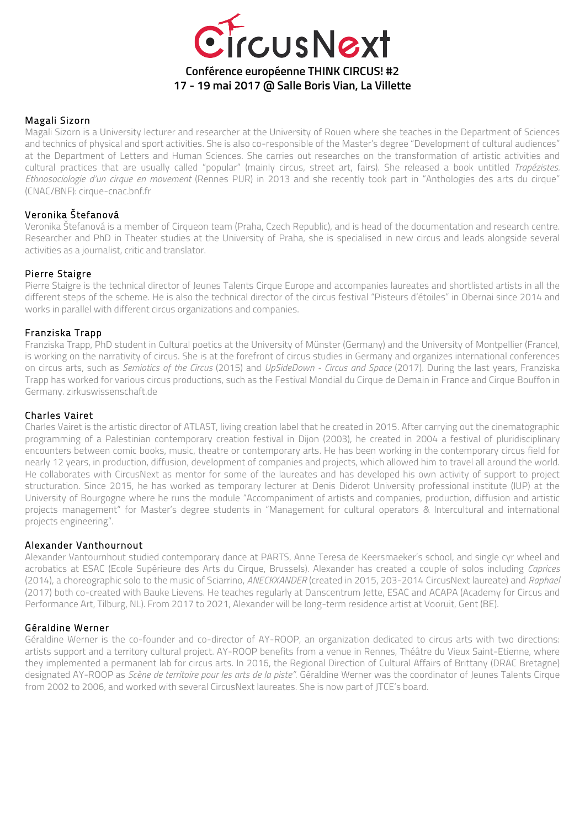

# Magali Sizorn

Magali Sizorn is a University lecturer and researcher at the University of Rouen where she teaches in the Department of Sciences and technics of physical and sport activities. She is also co-responsible of the Master's degree "Development of cultural audiences" at the Department of Letters and Human Sciences. She carries out researches on the transformation of artistic activities and cultural practices that are usually called "popular" (mainly circus, street art, fairs). She released a book untitled *Trapézistes. Ethnosociologie d'un cirque en movement* (Rennes PUR) in 2013 and she recently took part in "Anthologies des arts du cirque" (CNAC/BNF): cirque-cnac.bnf.fr

# Veronika Štefanová

Veronika Štefanová is a member of Cirqueon team (Praha, Czech Republic), and is head of the documentation and research centre. Researcher and PhD in Theater studies at the University of Praha, she is specialised in new circus and leads alongside several activities as a journalist, critic and translator.

# Pierre Staigre

Pierre Staigre is the technical director of Jeunes Talents Cirque Europe and accompanies laureates and shortlisted artists in all the different steps of the scheme. He is also the technical director of the circus festival "Pisteurs d'étoiles" in Obernai since 2014 and works in parallel with different circus organizations and companies.

# Franziska Trapp

Franziska Trapp, PhD student in Cultural poetics at the University of Münster (Germany) and the University of Montpellier (France), is working on the narrativity of circus. She is at the forefront of circus studies in Germany and organizes international conferences on circus arts, such as *Semiotics of the Circus* (2015) and *UpSideDown - Circus and Space* (2017). During the last years, Franziska Trapp has worked for various circus productions, such as the Festival Mondial du Cirque de Demain in France and Cirque Bouffon in Germany. zirkuswissenschaft.de

### Charles Vairet

Charles Vairet is the artistic director of ATLAST, living creation label that he created in 2015. After carrying out the cinematographic programming of a Palestinian contemporary creation festival in Dijon (2003), he created in 2004 a festival of pluridisciplinary encounters between comic books, music, theatre or contemporary arts. He has been working in the contemporary circus field for nearly 12 years, in production, diffusion, development of companies and projects, which allowed him to travel all around the world. He collaborates with CircusNext as mentor for some of the laureates and has developed his own activity of support to project structuration. Since 2015, he has worked as temporary lecturer at Denis Diderot University professional institute (IUP) at the University of Bourgogne where he runs the module "Accompaniment of artists and companies, production, diffusion and artistic projects management" for Master's degree students in "Management for cultural operators & Intercultural and international projects engineering".

### Alexander Vanthournout

Alexander Vantournhout studied contemporary dance at PARTS, Anne Teresa de Keersmaeker's school, and single cyr wheel and acrobatics at ESAC (Ecole Supérieure des Arts du Cirque, Brussels). Alexander has created a couple of solos including *Caprices* (2014), a choreographic solo to the music of Sciarrino, *ANECKXANDER* (created in 2015, 203-2014 CircusNext laureate) and *Raphael* (2017) both co-created with Bauke Lievens. He teaches regularly at Danscentrum Jette, ESAC and ACAPA (Academy for Circus and Performance Art, Tilburg, NL). From 2017 to 2021, Alexander will be long-term residence artist at Vooruit, Gent (BE).

### Géraldine Werner

Géraldine Werner is the co-founder and co-director of AY-ROOP, an organization dedicated to circus arts with two directions: artists support and a territory cultural project. AY-ROOP benefits from a venue in Rennes, Théâtre du Vieux Saint-Etienne, where they implemented a permanent lab for circus arts. In 2016, the Regional Direction of Cultural Affairs of Brittany (DRAC Bretagne) designated AY-ROOP as *Scène de territoire pour les arts de la piste"*. Géraldine Werner was the coordinator of Jeunes Talents Cirque from 2002 to 2006, and worked with several CircusNext laureates. She is now part of JTCE's board.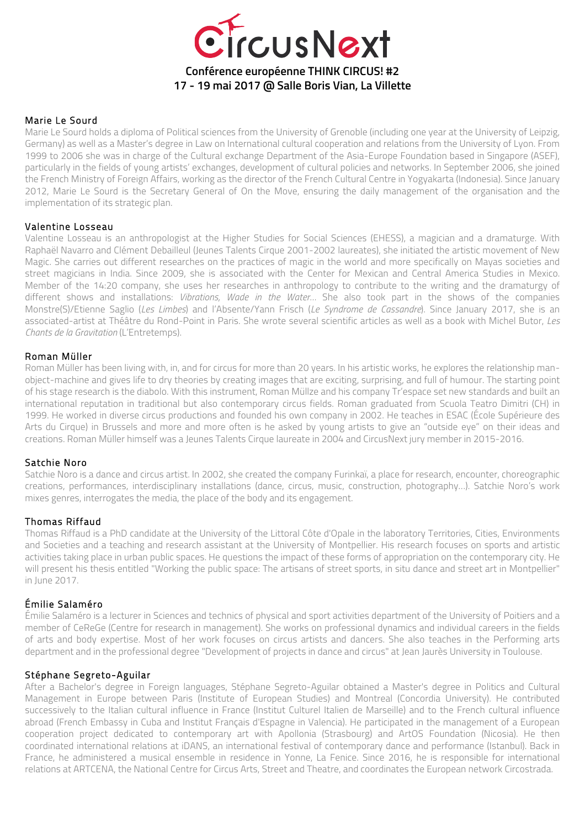

### Marie Le Sourd

Marie Le Sourd holds a diploma of Political sciences from the University of Grenoble (including one year at the University of Leipzig, Germany) as well as a Master's degree in Law on International cultural cooperation and relations from the University of Lyon. From 1999 to 2006 she was in charge of the Cultural exchange Department of the Asia-Europe Foundation based in Singapore (ASEF), particularly in the fields of young artists' exchanges, development of cultural policies and networks. In September 2006, she joined the French Ministry of Foreign Affairs, working as the director of the French Cultural Centre in Yogyakarta (Indonesia). Since January 2012, Marie Le Sourd is the Secretary General of On the Move, ensuring the daily management of the organisation and the implementation of its strategic plan.

#### Valentine Losseau

Valentine Losseau is an anthropologist at the Higher Studies for Social Sciences (EHESS), a magician and a dramaturge. With Raphaël Navarro and Clément Debailleul (Jeunes Talents Cirque 2001-2002 laureates), she initiated the artistic movement of New Magic. She carries out different researches on the practices of magic in the world and more specifically on Mayas societies and street magicians in India. Since 2009, she is associated with the Center for Mexican and Central America Studies in Mexico. Member of the 14:20 company, she uses her researches in anthropology to contribute to the writing and the dramaturgy of different shows and installations: *Vibrations, Wade in the Water…* She also took part in the shows of the companies Monstre(S)/Etienne Saglio (*Les Limbes*) and l'Absente/Yann Frisch (*Le Syndrome de Cassandre*). Since January 2017, she is an associated-artist at Théâtre du Rond-Point in Paris. She wrote several scientific articles as well as a book with Michel Butor, *Les Chants de la Gravitation* (L'Entretemps).

#### Roman Müller

Roman Müller has been living with, in, and for circus for more than 20 years. In his artistic works, he explores the relationship manobject-machine and gives life to dry theories by creating images that are exciting, surprising, and full of humour. The starting point of his stage research is the diabolo. With this instrument, Roman Müllze and his company Tr'espace set new standards and built an international reputation in traditional but also contemporary circus fields. Roman graduated from Scuola Teatro Dimitri (CH) in 1999. He worked in diverse circus productions and founded his own company in 2002. He teaches in ESAC (École Supérieure des Arts du Cirque) in Brussels and more and more often is he asked by young artists to give an "outside eye" on their ideas and creations. Roman Müller himself was a Jeunes Talents Cirque laureate in 2004 and CircusNext jury member in 2015-2016.

#### Satchie Noro

Satchie Noro is a dance and circus artist. In 2002, she created the company Furinkaï, a place for research, encounter, choreographic creations, performances, interdisciplinary installations (dance, circus, music, construction, photography…). Satchie Noro's work mixes genres, interrogates the media, the place of the body and its engagement.

#### Thomas Riffaud

Thomas Riffaud is a PhD candidate at the University of the Littoral Côte d'Opale in the laboratory Territories, Cities, Environments and Societies and a teaching and research assistant at the University of Montpellier. His research focuses on sports and artistic activities taking place in urban public spaces. He questions the impact of these forms of appropriation on the contemporary city. He will present his thesis entitled "Working the public space: The artisans of street sports, in situ dance and street art in Montpellier" in June 2017.

### Émilie Salaméro

Émilie Salaméro is a lecturer in Sciences and technics of physical and sport activities department of the University of Poitiers and a member of CeReGe (Centre for research in management). She works on professional dynamics and individual careers in the fields of arts and body expertise. Most of her work focuses on circus artists and dancers. She also teaches in the Performing arts department and in the professional degree "Development of projects in dance and circus" at Jean Jaurès University in Toulouse.

### Stéphane Segreto-Aguilar

After a Bachelor's degree in Foreign languages, Stéphane Segreto-Aguilar obtained a Master's degree in Politics and Cultural Management in Europe between Paris (Institute of European Studies) and Montreal (Concordia University). He contributed successively to the Italian cultural influence in France (Institut Culturel Italien de Marseille) and to the French cultural influence abroad (French Embassy in Cuba and Institut Français d'Espagne in Valencia). He participated in the management of a European cooperation project dedicated to contemporary art with Apollonia (Strasbourg) and ArtOS Foundation (Nicosia). He then coordinated international relations at iDANS, an international festival of contemporary dance and performance (Istanbul). Back in France, he administered a musical ensemble in residence in Yonne, La Fenice. Since 2016, he is responsible for international relations at ARTCENA, the National Centre for Circus Arts, Street and Theatre, and coordinates the European network Circostrada.